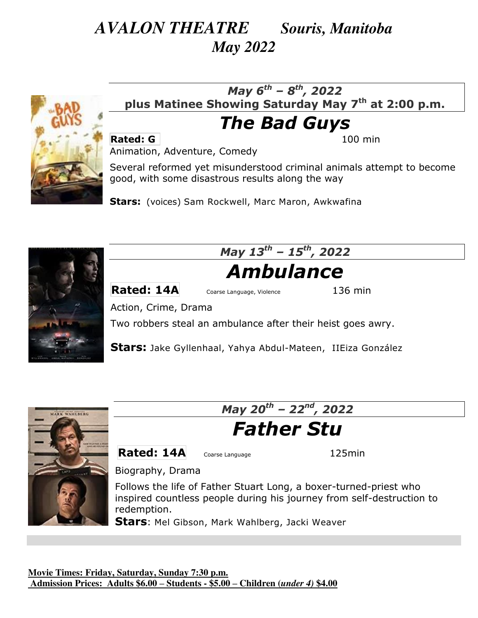## *AVALON THEATRE Souris, Manitoba May 2022*



### *May 6th – 8th, 2022*  **plus Matinee Showing Saturday May 7th at 2:00 p.m.**

## *The Bad Guys*

**Rated: G 100 min** 

Animation, Adventure, Comedy

Several reformed yet misunderstood criminal animals attempt to become good, with some disastrous results along the way

**Stars:** (voices) [Sam Rockwell,](https://www.imdb.com/name/nm0005377/?ref_=tt_ov_st) [Marc Maron,](https://www.imdb.com/name/nm0549505/?ref_=tt_ov_st) [Awkwafina](https://www.imdb.com/name/nm5377144/?ref_=tt_ov_st)



*May 13th – 15th, 2022* 

# *Ambulance*

**Rated: 14A** Coarse Language, Violence 136 min

Action, Crime, Drama

Two robbers steal an ambulance after their heist goes awry.

**Stars:** [Jake Gyllenhaal,](https://www.imdb.com/name/nm0350453/?ref_=tt_ov_st) [Yahya Abdul-Mateen, IIEiza González](https://www.imdb.com/name/nm5584344/?ref_=tt_ov_st)



*May 20th – 22nd, 2022* 

# *Father Stu*

**Rated: 14A** Coarse Language 125min

Biography, Drama

Follows the life of Father Stuart Long, a boxer-turned-priest who inspired countless people during his journey from self-destruction to redemption.

**Stars**: [Mel Gibson,](https://www.imdb.com/name/nm0000154/?ref_=tt_ov_st) [Mark Wahlberg,](https://www.imdb.com/name/nm0000242/?ref_=tt_ov_st) [Jacki Weaver](https://www.imdb.com/name/nm0915865/?ref_=tt_ov_st)